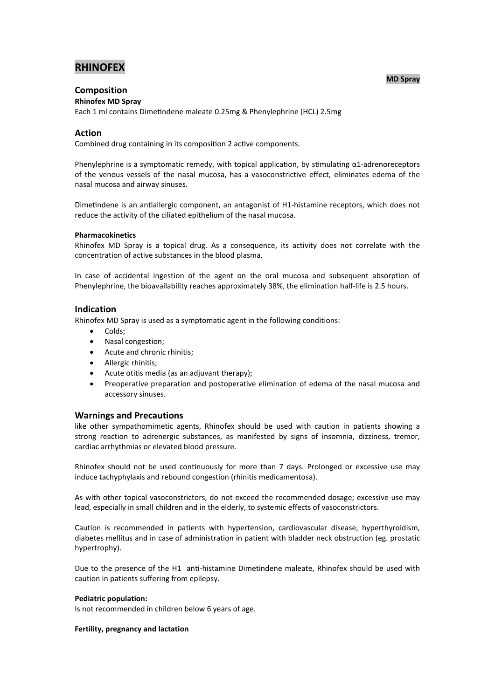# **RHINOFEX**

#### **MD Spray**

# **Composition**

**Rhinofex MD Spray**

Each 1 ml contains Dimetindene maleate 0.25mg & Phenylephrine (HCL) 2.5mg

#### **Action**

Combined drug containing in its composition 2 active components.

Phenylephrine is a symptomatic remedy, with topical application, by stimulating  $\alpha$ 1-adrenoreceptors of the venous vessels of the nasal mucosa, has a vasoconstrictive effect, eliminates edema of the nasal mucosa and airway sinuses.

Dimetindene is an antiallergic component, an antagonist of H1-histamine receptors, which does not reduce the activity of the ciliated epithelium of the nasal mucosa.

#### **Pharmacokinetics**

Rhinofex MD Spray is a topical drug. As a consequence, its activity does not correlate with the concentration of active substances in the blood plasma.

In case of accidental ingestion of the agent on the oral mucosa and subsequent absorption of Phenylephrine, the bioavailability reaches approximately 38%, the elimination half-life is 2.5 hours.

#### **Indication**

Rhinofex MD Spray is used as a symptomatic agent in the following conditions:

- Colds;
- Nasal congestion;
- Acute and chronic rhinitis;
- Allergic rhinitis;
- Acute otitis media (as an adjuvant therapy);
- Preoperative preparation and postoperative elimination of edema of the nasal mucosa and accessory sinuses.

#### **Warnings and Precautions**

like other sympathomimetic agents, Rhinofex should be used with caution in patients showing a strong reaction to adrenergic substances, as manifested by signs of insomnia, dizziness, tremor, cardiac arrhythmias or elevated blood pressure.

Rhinofex should not be used continuously for more than 7 days. Prolonged or excessive use may induce tachyphylaxis and rebound congestion (rhinitis medicamentosa).

As with other topical vasoconstrictors, do not exceed the recommended dosage; excessive use may lead, especially in small children and in the elderly, to systemic effects of vasoconstrictors.

Caution is recommended in patients with hypertension, cardiovascular disease, hyperthyroidism, diabetes mellitus and in case of administration in patient with bladder neck obstruction (eg. prostatic hypertrophy).

Due to the presence of the H1 anti-histamine Dimetindene maleate. Rhinofex should be used with caution in patients suffering from epilepsy.

#### **Pediatric population:**

Is not recommended in children below 6 years of age.

#### **Fertility, pregnancy and lactation**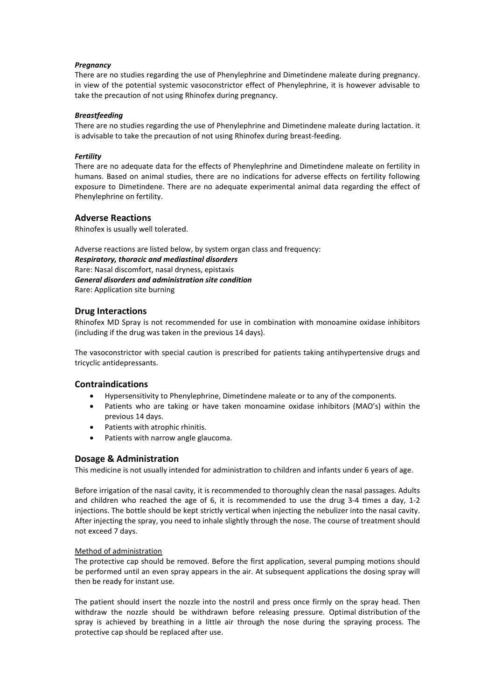#### *Pregnancy*

There are no studies regarding the use of Phenylephrine and Dimetindene maleate during pregnancy. in view of the potential systemic vasoconstrictor effect of Phenylephrine, it is however advisable to take the precaution of not using Rhinofex during pregnancy.

#### *Breastfeeding*

There are no studies regarding the use of Phenylephrine and Dimetindene maleate during lactation. it is advisable to take the precaution of not using Rhinofex during breast-feeding.

#### *Fertility*

There are no adequate data for the effects of Phenylephrine and Dimetindene maleate on fertility in humans. Based on animal studies, there are no indications for adverse effects on fertility following exposure to Dimetindene. There are no adequate experimental animal data regarding the effect of Phenylephrine on fertility.

#### **Adverse Reactions**

Rhinofex is usually well tolerated.

Adverse reactions are listed below, by system organ class and frequency: *Respiratory, thoracic and mediastinal disorders*  Rare: Nasal discomfort, nasal dryness, epistaxis *General disorders and administration site condition*  Rare: Application site burning

### **Drug Interactions**

Rhinofex MD Spray is not recommended for use in combination with monoamine oxidase inhibitors (including if the drug was taken in the previous 14 days).

The vasoconstrictor with special caution is prescribed for patients taking antihypertensive drugs and tricyclic antidepressants.

#### **Contraindications**

- Hypersensitivity to Phenylephrine, Dimetindene maleate or to any of the components.
- Patients who are taking or have taken monoamine oxidase inhibitors (MAO's) within the previous 14 days.
- Patients with atrophic rhinitis.
- Patients with narrow angle glaucoma.

## **Dosage & Administration**

This medicine is not usually intended for administration to children and infants under 6 years of age.

Before irrigation of the nasal cavity, it is recommended to thoroughly clean the nasal passages. Adults and children who reached the age of 6, it is recommended to use the drug  $3-4$  times a day,  $1-2$ injections. The bottle should be kept strictly vertical when injecting the nebulizer into the nasal cavity. After injecting the spray, you need to inhale slightly through the nose. The course of treatment should not exceed 7 days.

#### Method of administration

The protective cap should be removed. Before the first application, several pumping motions should be performed until an even spray appears in the air. At subsequent applications the dosing spray will then be ready for instant use.

The patient should insert the nozzle into the nostril and press once firmly on the spray head. Then withdraw the nozzle should be withdrawn before releasing pressure. Optimal distribution of the spray is achieved by breathing in a little air through the nose during the spraying process. The protective cap should be replaced after use.